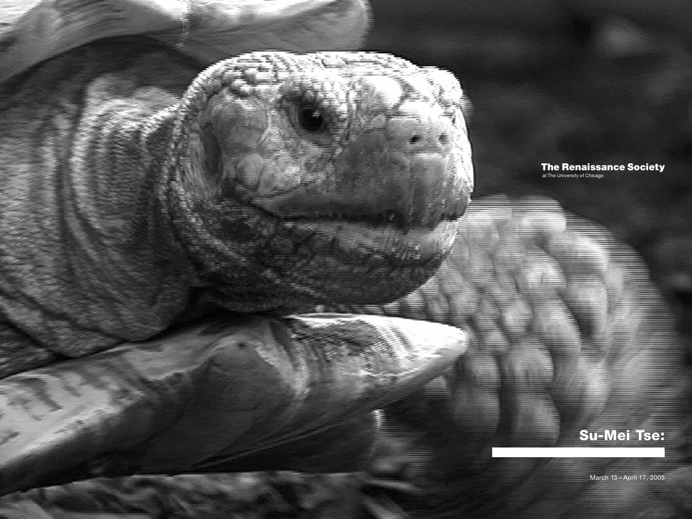

### **The Renaissance Society**

at The University of Chicago

# **Su-Mei Tse:**

March 13 – April 17, 2005